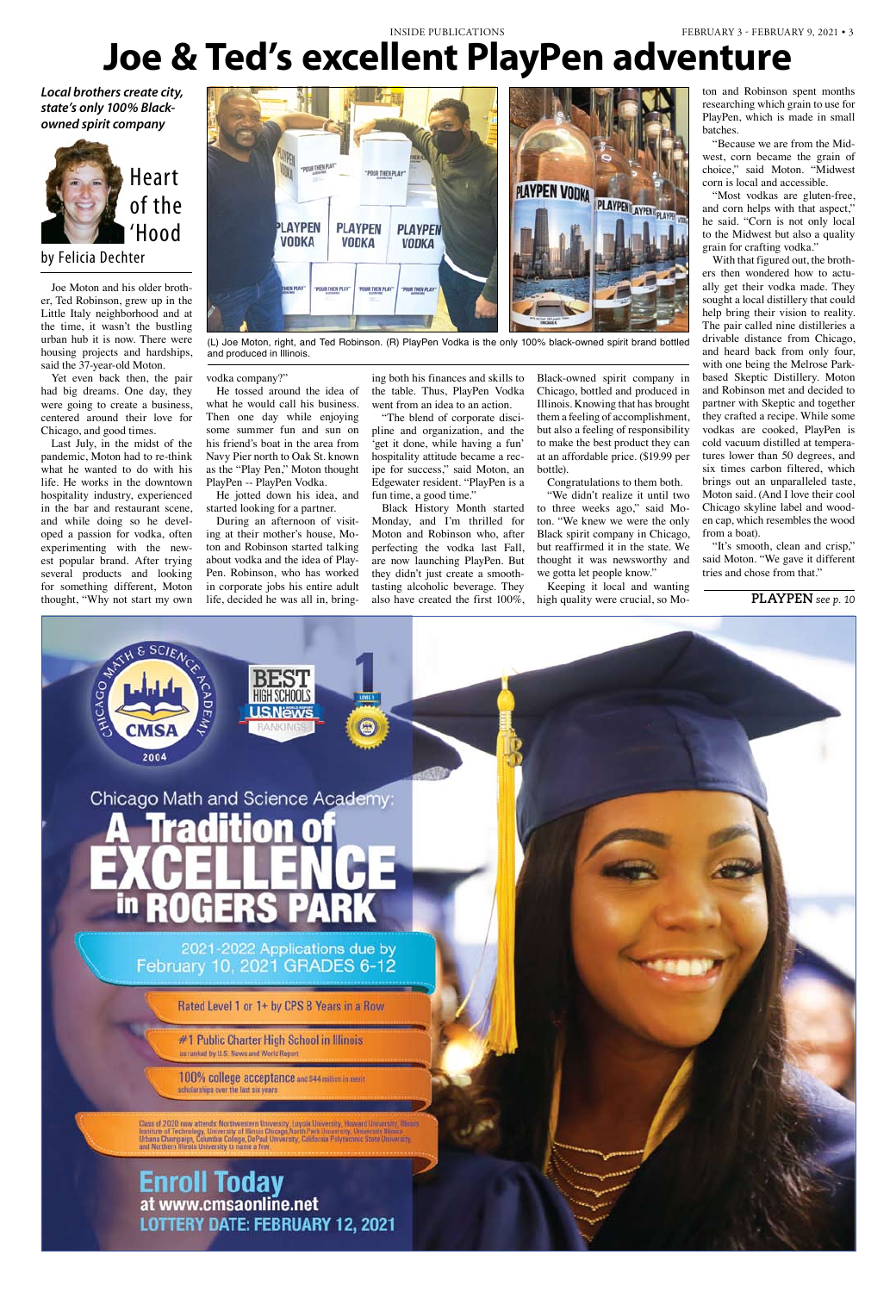Joe Moton and his older brother, Ted Robinson, grew up in the Little Italy neighborhood and at the time, it wasn't the bustling urban hub it is now. There were housing projects and hardships, said the 37-year-old Moton.

Yet even back then, the pair had big dreams. One day, they were going to create a business, centered around their love for Chicago, and good times.

Last July, in the midst of the pandemic, Moton had to re-think what he wanted to do with his life. He works in the downtown hospitality industry, experienced in the bar and restaurant scene, and while doing so he developed a passion for vodka, often experimenting with the newest popular brand. After trying several products and looking for something different, Moton thought, "Why not start my own



by Felicia Dechter



# **Joe & Ted's excellent PlayPen adventure**

vodka company?"

He tossed around the idea of what he would call his business. Then one day while enjoying some summer fun and sun on his friend's boat in the area from Navy Pier north to Oak St. known as the "Play Pen," Moton thought PlayPen -- PlayPen Vodka.

He jotted down his idea, and started looking for a partner.

During an afternoon of visiting at their mother's house, Moton and Robinson started talking about vodka and the idea of Play-Pen. Robinson, who has worked in corporate jobs his entire adult life, decided he was all in, bringing both his finances and skills to the table. Thus, PlayPen Vodka went from an idea to an action.

"The blend of corporate discipline and organization, and the 'get it done, while having a fun' hospitality attitude became a recipe for success," said Moton, an Edgewater resident. "PlayPen is a fun time, a good time."

> "It's smooth, clean and crisp," said Moton. "We gave it different tries and chose from that."

Black History Month started Monday, and I'm thrilled for Moton and Robinson who, after perfecting the vodka last Fall, are now launching PlayPen. But they didn't just create a smoothtasting alcoholic beverage. They also have created the first 100%,

Black-owned spirit company in Chicago, bottled and produced in Illinois. Knowing that has brought them a feeling of accomplishment, but also a feeling of responsibility to make the best product they can at an affordable price. (\$19.99 per bottle).

Congratulations to them both.

"We didn't realize it until two to three weeks ago," said Moton. "We knew we were the only Black spirit company in Chicago, but reaffirmed it in the state. We thought it was newsworthy and we gotta let people know."

Keeping it local and wanting high quality were crucial, so Mo-

ton and Robinson spent months researching which grain to use for PlayPen, which is made in small batches.

"Because we are from the Midwest, corn became the grain of choice," said Moton. "Midwest corn is local and accessible.

"Most vodkas are gluten-free, and corn helps with that aspect," he said. "Corn is not only local to the Midwest but also a quality grain for crafting vodka."

With that figured out, the brothers then wondered how to actually get their vodka made. They sought a local distillery that could help bring their vision to reality. The pair called nine distilleries a drivable distance from Chicago, and heard back from only four, with one being the Melrose Parkbased Skeptic Distillery. Moton and Robinson met and decided to partner with Skeptic and together they crafted a recipe. While some vodkas are cooked, PlayPen is cold vacuum distilled at temperatures lower than 50 degrees, and six times carbon filtered, which brings out an unparalleled taste, Moton said. (And I love their cool Chicago skyline label and wooden cap, which resembles the wood from a boat).

*Local brothers create city, state's only 100% Blackowned spirit company*

# **playpen** *see p. 10*



# #1 Public Charter High School in Illinois as ranked by U.S. News and World Report

100% college acceptance and \$44 million in ment scholarships over the last six years

Class of 2020 now attends. Northwestern University, Luyola University, Howard University, Nino<br>Institute of Technology, University of Minois Chicago North Park University, University, Ninos<br>Urbana Champaign, Columbia Colle

**Enroll Today**<br>at www.cmsaonline.net **LOTTERY DATE: FEBRUARY 12, 2021** 

(L) Joe Moton, right, and Ted Robinson. (R) PlayPen Vodka is the only 100% black-owned spirit brand bottled and produced in Illinois.